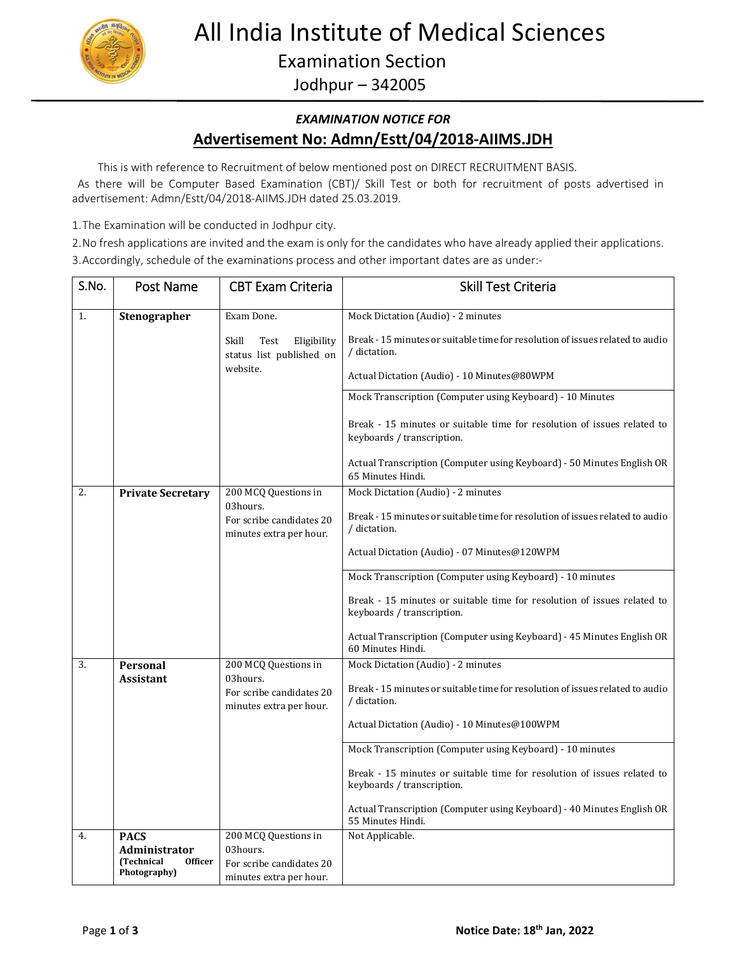

# All India Institute of Medical Sciences

Examination Section

Jodhpur – 342005

### *EXAMINATION NOTICE FOR* **Advertisement No: Admn/Estt/04/2018‐AIIMS.JDH**

This is with reference to Recruitment of below mentioned post on DIRECT RECRUITMENT BASIS.

 As there will be Computer Based Examination (CBT)/ Skill Test or both for recruitment of posts advertised in advertisement: Admn/Estt/04/2018‐AIIMS.JDH dated 25.03.2019.

1.The Examination will be conducted in Jodhpur city.

2.No fresh applications are invited and the exam is only for the candidates who have already applied their applications. 3.Accordingly, schedule of the examinations process and other important dates are as under:‐

| S.No. | Post Name                                                     | <b>CBT Exam Criteria</b>                                             | <b>Skill Test Criteria</b>                                                                                                                                                      |
|-------|---------------------------------------------------------------|----------------------------------------------------------------------|---------------------------------------------------------------------------------------------------------------------------------------------------------------------------------|
| 1.    | Stenographer                                                  | Exam Done.                                                           | Mock Dictation (Audio) - 2 minutes                                                                                                                                              |
|       |                                                               | Skill<br>Test<br>Eligibility<br>status list published on<br>website. | Break - 15 minutes or suitable time for resolution of issues related to audio<br>/ dictation.<br>Actual Dictation (Audio) - 10 Minutes@80WPM                                    |
|       |                                                               |                                                                      | Mock Transcription (Computer using Keyboard) - 10 Minutes                                                                                                                       |
|       |                                                               |                                                                      | Break - 15 minutes or suitable time for resolution of issues related to<br>keyboards / transcription.<br>Actual Transcription (Computer using Keyboard) - 50 Minutes English OR |
|       |                                                               |                                                                      | 65 Minutes Hindi.                                                                                                                                                               |
| 2.    | <b>Private Secretary</b>                                      | 200 MCQ Questions in                                                 | Mock Dictation (Audio) - 2 minutes                                                                                                                                              |
|       |                                                               | 03hours.<br>For scribe candidates 20<br>minutes extra per hour.      | Break - 15 minutes or suitable time for resolution of issues related to audio<br>/ dictation.                                                                                   |
|       |                                                               |                                                                      | Actual Dictation (Audio) - 07 Minutes@120WPM                                                                                                                                    |
|       |                                                               |                                                                      | Mock Transcription (Computer using Keyboard) - 10 minutes                                                                                                                       |
|       |                                                               |                                                                      | Break - 15 minutes or suitable time for resolution of issues related to<br>keyboards / transcription.                                                                           |
|       |                                                               |                                                                      | Actual Transcription (Computer using Keyboard) - 45 Minutes English OR<br>60 Minutes Hindi.                                                                                     |
| 3.    | Personal                                                      | 200 MCQ Questions in                                                 | Mock Dictation (Audio) - 2 minutes                                                                                                                                              |
|       | <b>Assistant</b>                                              | 03hours.<br>For scribe candidates 20<br>minutes extra per hour.      | Break - 15 minutes or suitable time for resolution of issues related to audio<br>/ dictation.                                                                                   |
|       |                                                               |                                                                      | Actual Dictation (Audio) - 10 Minutes@100WPM                                                                                                                                    |
|       |                                                               |                                                                      | Mock Transcription (Computer using Keyboard) - 10 minutes                                                                                                                       |
|       |                                                               |                                                                      | Break - 15 minutes or suitable time for resolution of issues related to<br>keyboards / transcription.                                                                           |
|       |                                                               |                                                                      | Actual Transcription (Computer using Keyboard) - 40 Minutes English OR<br>55 Minutes Hindi.                                                                                     |
| 4.    | <b>PACS</b>                                                   | 200 MCQ Questions in                                                 | Not Applicable.                                                                                                                                                                 |
|       | Administrator<br>(Technical<br><b>Officer</b><br>Photography) | 03hours.<br>For scribe candidates 20<br>minutes extra per hour.      |                                                                                                                                                                                 |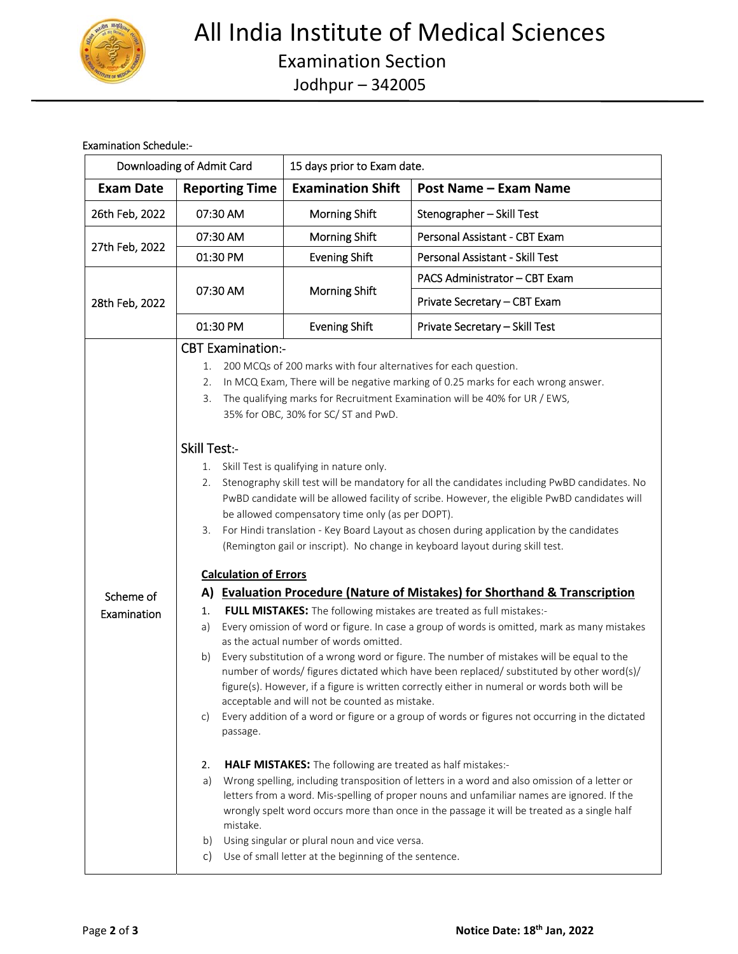

#### Examination Schedule:‐

|                  | Downloading of Admit Card                                                                                                                                                                                                                                                                                                                                                                                                                                                                                     | 15 days prior to Exam date.                                                                                                                                           |                                                                                                                                                                                                                                                                                                                                                                            |  |  |  |
|------------------|---------------------------------------------------------------------------------------------------------------------------------------------------------------------------------------------------------------------------------------------------------------------------------------------------------------------------------------------------------------------------------------------------------------------------------------------------------------------------------------------------------------|-----------------------------------------------------------------------------------------------------------------------------------------------------------------------|----------------------------------------------------------------------------------------------------------------------------------------------------------------------------------------------------------------------------------------------------------------------------------------------------------------------------------------------------------------------------|--|--|--|
| <b>Exam Date</b> | <b>Reporting Time</b>                                                                                                                                                                                                                                                                                                                                                                                                                                                                                         | <b>Examination Shift</b>                                                                                                                                              | <b>Post Name - Exam Name</b>                                                                                                                                                                                                                                                                                                                                               |  |  |  |
| 26th Feb, 2022   | 07:30 AM                                                                                                                                                                                                                                                                                                                                                                                                                                                                                                      | Morning Shift                                                                                                                                                         | Stenographer - Skill Test                                                                                                                                                                                                                                                                                                                                                  |  |  |  |
|                  | 07:30 AM                                                                                                                                                                                                                                                                                                                                                                                                                                                                                                      | <b>Morning Shift</b>                                                                                                                                                  | Personal Assistant - CBT Exam                                                                                                                                                                                                                                                                                                                                              |  |  |  |
| 27th Feb, 2022   | 01:30 PM                                                                                                                                                                                                                                                                                                                                                                                                                                                                                                      | <b>Evening Shift</b>                                                                                                                                                  | Personal Assistant - Skill Test                                                                                                                                                                                                                                                                                                                                            |  |  |  |
|                  |                                                                                                                                                                                                                                                                                                                                                                                                                                                                                                               | Morning Shift                                                                                                                                                         | PACS Administrator - CBT Exam                                                                                                                                                                                                                                                                                                                                              |  |  |  |
| 28th Feb, 2022   | 07:30 AM                                                                                                                                                                                                                                                                                                                                                                                                                                                                                                      |                                                                                                                                                                       | Private Secretary - CBT Exam                                                                                                                                                                                                                                                                                                                                               |  |  |  |
|                  | 01:30 PM                                                                                                                                                                                                                                                                                                                                                                                                                                                                                                      | <b>Evening Shift</b>                                                                                                                                                  | Private Secretary - Skill Test                                                                                                                                                                                                                                                                                                                                             |  |  |  |
|                  | <b>CBT Examination:-</b><br>200 MCQs of 200 marks with four alternatives for each question.<br>1.<br>In MCQ Exam, There will be negative marking of 0.25 marks for each wrong answer.<br>2.<br>3.<br>The qualifying marks for Recruitment Examination will be 40% for UR / EWS,<br>35% for OBC, 30% for SC/ ST and PwD.<br><b>Skill Test:-</b>                                                                                                                                                                |                                                                                                                                                                       |                                                                                                                                                                                                                                                                                                                                                                            |  |  |  |
|                  | 1.<br>2.<br>3.<br><b>Calculation of Errors</b>                                                                                                                                                                                                                                                                                                                                                                                                                                                                | Skill Test is qualifying in nature only.<br>be allowed compensatory time only (as per DOPT).                                                                          | Stenography skill test will be mandatory for all the candidates including PwBD candidates. No<br>PwBD candidate will be allowed facility of scribe. However, the eligible PwBD candidates will<br>For Hindi translation - Key Board Layout as chosen during application by the candidates<br>(Remington gail or inscript). No change in keyboard layout during skill test. |  |  |  |
| Scheme of        | A) Evaluation Procedure (Nature of Mistakes) for Shorthand & Transcription                                                                                                                                                                                                                                                                                                                                                                                                                                    |                                                                                                                                                                       |                                                                                                                                                                                                                                                                                                                                                                            |  |  |  |
| Examination      | FULL MISTAKES: The following mistakes are treated as full mistakes:-<br>1.<br>Every omission of word or figure. In case a group of words is omitted, mark as many mistakes<br>a)                                                                                                                                                                                                                                                                                                                              |                                                                                                                                                                       |                                                                                                                                                                                                                                                                                                                                                                            |  |  |  |
|                  | as the actual number of words omitted.<br>Every substitution of a wrong word or figure. The number of mistakes will be equal to the<br>b)<br>number of words/ figures dictated which have been replaced/ substituted by other word(s)/<br>figure(s). However, if a figure is written correctly either in numeral or words both will be<br>acceptable and will not be counted as mistake.<br>Every addition of a word or figure or a group of words or figures not occurring in the dictated<br>C)<br>passage. |                                                                                                                                                                       |                                                                                                                                                                                                                                                                                                                                                                            |  |  |  |
|                  | 2.<br>a)<br>mistake.<br>b)<br>$\mathsf{C}$                                                                                                                                                                                                                                                                                                                                                                                                                                                                    | HALF MISTAKES: The following are treated as half mistakes:-<br>Using singular or plural noun and vice versa.<br>Use of small letter at the beginning of the sentence. | Wrong spelling, including transposition of letters in a word and also omission of a letter or<br>letters from a word. Mis-spelling of proper nouns and unfamiliar names are ignored. If the<br>wrongly spelt word occurs more than once in the passage it will be treated as a single half                                                                                 |  |  |  |